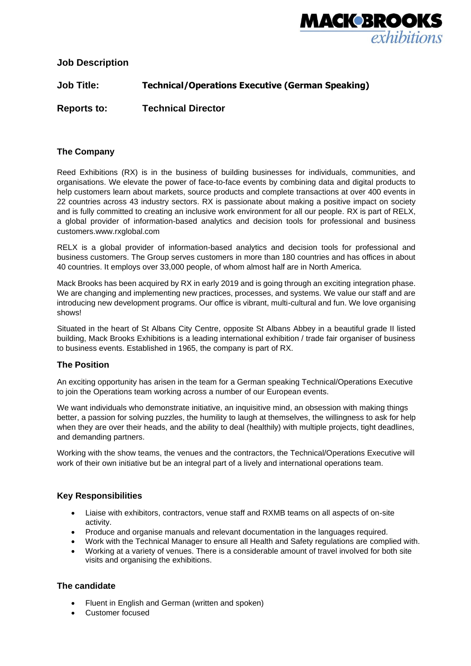

**Job Description**

**Job Title: Technical/Operations Executive (German Speaking)**

**Reports to: Technical Director**

# **The Company**

Reed Exhibitions (RX) is in the business of building businesses for individuals, communities, and organisations. We elevate the power of face-to-face events by combining data and digital products to help customers learn about markets, source products and complete transactions at over 400 events in 22 countries across 43 industry sectors. RX is passionate about making a positive impact on society and is fully committed to creating an inclusive work environment for all our people. RX is part of RELX, a global provider of information-based analytics and decision tools for professional and business customers.www.rxglobal.com

RELX is a global provider of information-based analytics and decision tools for professional and business customers. The Group serves customers in more than 180 countries and has offices in about 40 countries. It employs over 33,000 people, of whom almost half are in North America.

Mack Brooks has been acquired by RX in early 2019 and is going through an exciting integration phase. We are changing and implementing new practices, processes, and systems. We value our staff and are introducing new development programs. Our office is vibrant, multi-cultural and fun. We love organising shows!

Situated in the heart of St Albans City Centre, opposite St Albans Abbey in a beautiful grade II listed building, Mack Brooks Exhibitions is a leading international exhibition / trade fair organiser of business to business events. Established in 1965, the company is part of RX.

## **The Position**

An exciting opportunity has arisen in the team for a German speaking Technical/Operations Executive to join the Operations team working across a number of our European events.

We want individuals who demonstrate initiative, an inquisitive mind, an obsession with making things better, a passion for solving puzzles, the humility to laugh at themselves, the willingness to ask for help when they are over their heads, and the ability to deal (healthily) with multiple projects, tight deadlines, and demanding partners.

Working with the show teams, the venues and the contractors, the Technical/Operations Executive will work of their own initiative but be an integral part of a lively and international operations team.

## **Key Responsibilities**

- Liaise with exhibitors, contractors, venue staff and RXMB teams on all aspects of on-site activity.
- Produce and organise manuals and relevant documentation in the languages required.
- Work with the Technical Manager to ensure all Health and Safety regulations are complied with.
- Working at a variety of venues. There is a considerable amount of travel involved for both site visits and organising the exhibitions.

## **The candidate**

- Fluent in English and German (written and spoken)
- Customer focused